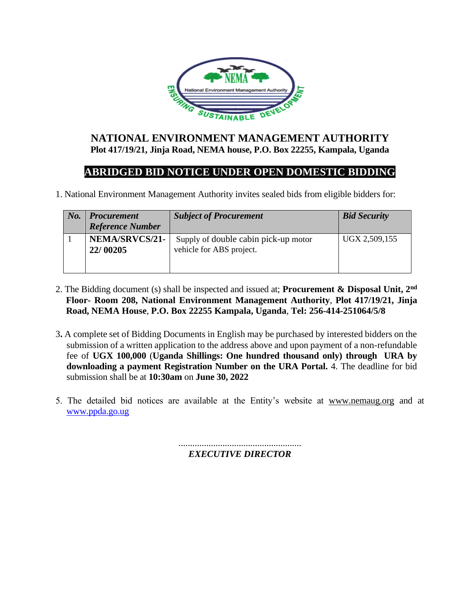

## **NATIONAL ENVIRONMENT MANAGEMENT AUTHORITY Plot 417/19/21, Jinja Road, NEMA house, P.O. Box 22255, Kampala, Uganda**

## **ABRIDGED BID NOTICE UNDER OPEN DOMESTIC BIDDING**

1. National Environment Management Authority invites sealed bids from eligible bidders for:

| $N_{0}$ . | <b>Procurement</b><br><b>Reference Number</b> | <b>Subject of Procurement</b>                                    | <b>Bid Security</b> |
|-----------|-----------------------------------------------|------------------------------------------------------------------|---------------------|
|           | NEMA/SRVCS/21-<br>22/00205                    | Supply of double cabin pick-up motor<br>vehicle for ABS project. | UGX 2,509,155       |

- 2. The Bidding document (s) shall be inspected and issued at; **Procurement & Disposal Unit, 2nd Floor- Room 208, National Environment Management Authority**, **Plot 417/19/21, Jinja Road, NEMA House**, **P.O. Box 22255 Kampala, Uganda**, **Tel: 256-414-251064/5/8**
- 3**.** A complete set of Bidding Documents in English may be purchased by interested bidders on the submission of a written application to the address above and upon payment of a non-refundable fee of **UGX 100,000** (**Uganda Shillings: One hundred thousand only) through URA by downloading a payment Registration Number on the URA Portal.** 4. The deadline for bid submission shall be at **10:30am** on **June 30, 2022**
- 5. The detailed bid notices are available at the Entity's website at www.nemaug.org and at [www.ppda.go.ug](http://www.ppda.go.ug/)

..................................................... *EXECUTIVE DIRECTOR*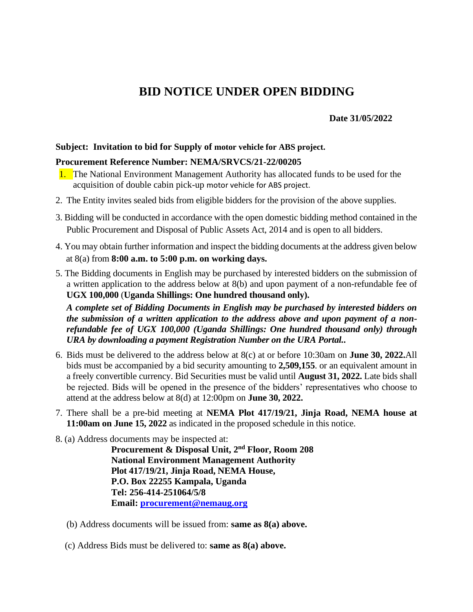# **BID NOTICE UNDER OPEN BIDDING**

### **Date 31/05/2022**

#### **Subject: Invitation to bid for Supply of motor vehicle for ABS project.**

#### **Procurement Reference Number: NEMA/SRVCS/21-22/00205**

- 1. The National Environment Management Authority has allocated funds to be used for the acquisition of double cabin pick-up motor vehicle for ABS project.
- 2. The Entity invites sealed bids from eligible bidders for the provision of the above supplies.
- 3. Bidding will be conducted in accordance with the open domestic bidding method contained in the Public Procurement and Disposal of Public Assets Act, 2014 and is open to all bidders.
- 4. You may obtain further information and inspect the bidding documents at the address given below at 8(a) from **8:00 a.m. to 5:00 p.m. on working days.**
- 5. The Bidding documents in English may be purchased by interested bidders on the submission of a written application to the address below at 8(b) and upon payment of a non-refundable fee of **UGX 100,000** (**Uganda Shillings: One hundred thousand only).**

*A complete set of Bidding Documents in English may be purchased by interested bidders on the submission of a written application to the address above and upon payment of a nonrefundable fee of UGX 100,000 (Uganda Shillings: One hundred thousand only) through URA by downloading a payment Registration Number on the URA Portal..* 

- 6. Bids must be delivered to the address below at 8(c) at or before 10:30am on **June 30, 2022.**All bids must be accompanied by a bid security amounting to **2,509,155**. or an equivalent amount in a freely convertible currency. Bid Securities must be valid until **August 31, 2022.** Late bids shall be rejected. Bids will be opened in the presence of the bidders' representatives who choose to attend at the address below at 8(d) at 12:00pm on **June 30, 2022.**
- 7. There shall be a pre-bid meeting at **NEMA Plot 417/19/21, Jinja Road, NEMA house at 11:00am on June 15, 2022** as indicated in the proposed schedule in this notice.

8. (a) Address documents may be inspected at:

**Procurement & Disposal Unit, 2nd Floor, Room 208 National Environment Management Authority Plot 417/19/21, Jinja Road, NEMA House, P.O. Box 22255 Kampala, Uganda Tel: 256-414-251064/5/8 Email: [procurement@nemaug.org](mailto:procurement@nemaug.org)**

- (b) Address documents will be issued from: **same as 8(a) above.**
- (c) Address Bids must be delivered to: **same as 8(a) above.**